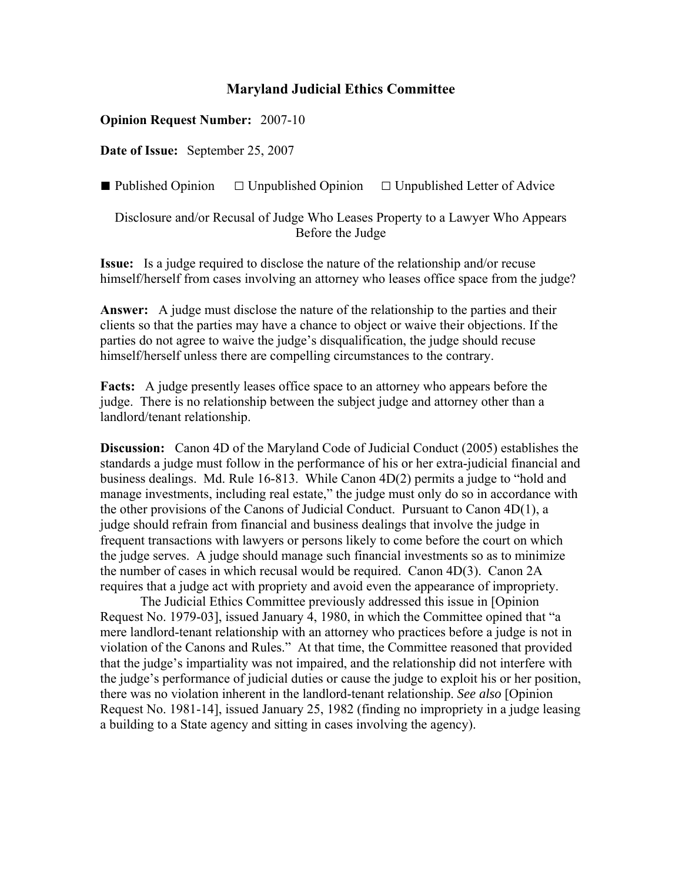## **Maryland Judicial Ethics Committee**

## **Opinion Request Number:** 2007-10

**Date of Issue:** September 25, 2007

■ Published Opinion □ Unpublished Opinion □ Unpublished Letter of Advice

Disclosure and/or Recusal of Judge Who Leases Property to a Lawyer Who Appears Before the Judge

**Issue:** Is a judge required to disclose the nature of the relationship and/or recuse himself/herself from cases involving an attorney who leases office space from the judge?

**Answer:** A judge must disclose the nature of the relationship to the parties and their clients so that the parties may have a chance to object or waive their objections. If the parties do not agree to waive the judge's disqualification, the judge should recuse himself/herself unless there are compelling circumstances to the contrary.

**Facts:** A judge presently leases office space to an attorney who appears before the judge. There is no relationship between the subject judge and attorney other than a landlord/tenant relationship.

**Discussion:** Canon 4D of the Maryland Code of Judicial Conduct (2005) establishes the standards a judge must follow in the performance of his or her extra-judicial financial and business dealings. Md. Rule 16-813. While Canon 4D(2) permits a judge to "hold and manage investments, including real estate," the judge must only do so in accordance with the other provisions of the Canons of Judicial Conduct. Pursuant to Canon 4D(1), a judge should refrain from financial and business dealings that involve the judge in frequent transactions with lawyers or persons likely to come before the court on which the judge serves. A judge should manage such financial investments so as to minimize the number of cases in which recusal would be required. Canon 4D(3). Canon 2A requires that a judge act with propriety and avoid even the appearance of impropriety.

 The Judicial Ethics Committee previously addressed this issue in [Opinion Request No. 1979-03], issued January 4, 1980, in which the Committee opined that "a mere landlord-tenant relationship with an attorney who practices before a judge is not in violation of the Canons and Rules." At that time, the Committee reasoned that provided that the judge's impartiality was not impaired, and the relationship did not interfere with the judge's performance of judicial duties or cause the judge to exploit his or her position, there was no violation inherent in the landlord-tenant relationship. *See also* [Opinion Request No. 1981-14], issued January 25, 1982 (finding no impropriety in a judge leasing a building to a State agency and sitting in cases involving the agency).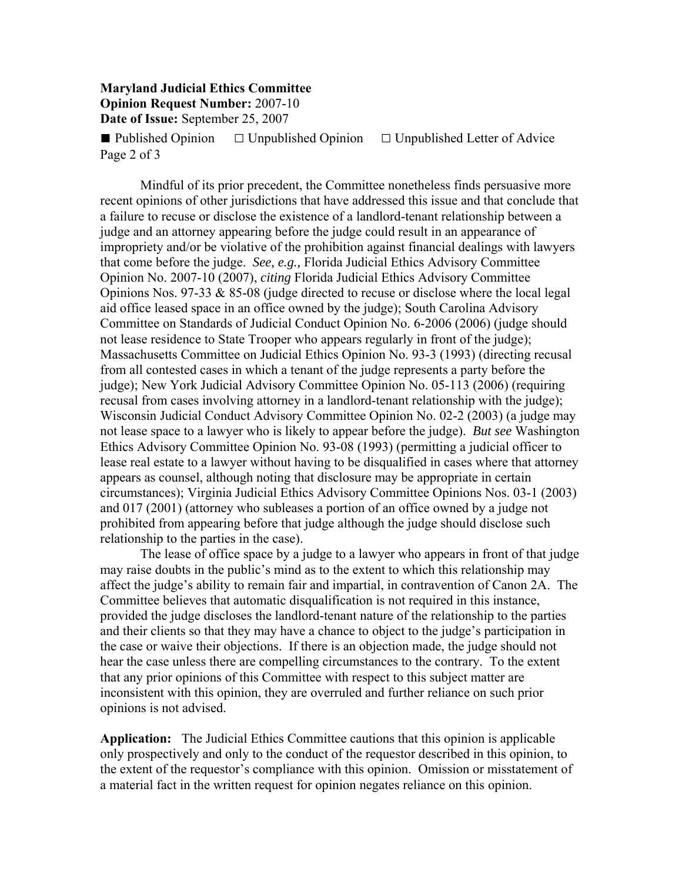## **Maryland Judicial Ethics Committee Opinion Request Number:** 2007-10 **Date of Issue:** September 25, 2007

**■** Published Opinion **□** Unpublished Opinion □ Unpublished Letter of Advice Page 2 of 3

 Mindful of its prior precedent, the Committee nonetheless finds persuasive more recent opinions of other jurisdictions that have addressed this issue and that conclude that a failure to recuse or disclose the existence of a landlord-tenant relationship between a judge and an attorney appearing before the judge could result in an appearance of impropriety and/or be violative of the prohibition against financial dealings with lawyers that come before the judge. *See, e.g.,* Florida Judicial Ethics Advisory Committee Opinion No. 2007-10 (2007), *citing* Florida Judicial Ethics Advisory Committee Opinions Nos.  $97-33 \& 85-08$  (judge directed to recuse or disclose where the local legal aid office leased space in an office owned by the judge); South Carolina Advisory Committee on Standards of Judicial Conduct Opinion No. 6-2006 (2006) (judge should not lease residence to State Trooper who appears regularly in front of the judge); Massachusetts Committee on Judicial Ethics Opinion No. 93-3 (1993) (directing recusal from all contested cases in which a tenant of the judge represents a party before the judge); New York Judicial Advisory Committee Opinion No. 05-113 (2006) (requiring recusal from cases involving attorney in a landlord-tenant relationship with the judge); Wisconsin Judicial Conduct Advisory Committee Opinion No. 02-2 (2003) (a judge may not lease space to a lawyer who is likely to appear before the judge). *But see* Washington Ethics Advisory Committee Opinion No. 93-08 (1993) (permitting a judicial officer to lease real estate to a lawyer without having to be disqualified in cases where that attorney appears as counsel, although noting that disclosure may be appropriate in certain circumstances); Virginia Judicial Ethics Advisory Committee Opinions Nos. 03-1 (2003) and 017 (2001) (attorney who subleases a portion of an office owned by a judge not prohibited from appearing before that judge although the judge should disclose such relationship to the parties in the case).

 The lease of office space by a judge to a lawyer who appears in front of that judge may raise doubts in the public's mind as to the extent to which this relationship may affect the judge's ability to remain fair and impartial, in contravention of Canon 2A. The Committee believes that automatic disqualification is not required in this instance, provided the judge discloses the landlord-tenant nature of the relationship to the parties and their clients so that they may have a chance to object to the judge's participation in the case or waive their objections. If there is an objection made, the judge should not hear the case unless there are compelling circumstances to the contrary. To the extent that any prior opinions of this Committee with respect to this subject matter are inconsistent with this opinion, they are overruled and further reliance on such prior opinions is not advised.

**Application:** The Judicial Ethics Committee cautions that this opinion is applicable only prospectively and only to the conduct of the requestor described in this opinion, to the extent of the requestor's compliance with this opinion. Omission or misstatement of a material fact in the written request for opinion negates reliance on this opinion.